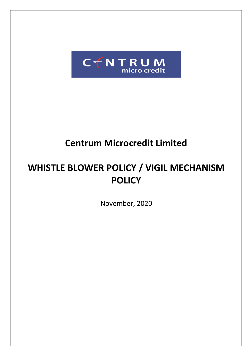

## **Centrum Microcredit Limited**

# **WHISTLE BLOWER POLICY / VIGIL MECHANISM POLICY**

November, 2020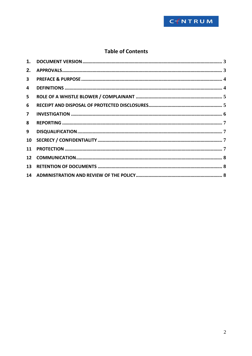

## **Table of Contents**

| 2.              |  |
|-----------------|--|
| $\mathbf{3}$    |  |
| 4               |  |
| 5               |  |
| 6               |  |
| $\overline{7}$  |  |
| 8               |  |
| 9               |  |
| 10 <sup>°</sup> |  |
| 11              |  |
|                 |  |
| 13 <sup>7</sup> |  |
|                 |  |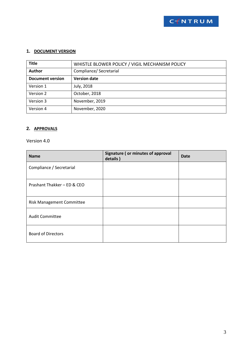

## <span id="page-2-0"></span>**1. DOCUMENT VERSION**

| <b>Title</b>            | WHISTLE BLOWER POLICY / VIGIL MECHANISM POLICY |  |  |
|-------------------------|------------------------------------------------|--|--|
| Author                  | Compliance/ Secretarial                        |  |  |
| <b>Document version</b> | <b>Version date</b>                            |  |  |
| Version 1               | July, 2018                                     |  |  |
| Version 2               | October, 2018                                  |  |  |
| Version 3               | November, 2019                                 |  |  |
| Version 4               | November, 2020                                 |  |  |

### <span id="page-2-1"></span>**2. APPROVALS**

### Version 4.0

| <b>Name</b>                      | Signature (or minutes of approval<br>details) | Date |
|----------------------------------|-----------------------------------------------|------|
| Compliance / Secretarial         |                                               |      |
| Prashant Thakker - ED & CEO      |                                               |      |
| <b>Risk Management Committee</b> |                                               |      |
| <b>Audit Committee</b>           |                                               |      |
| <b>Board of Directors</b>        |                                               |      |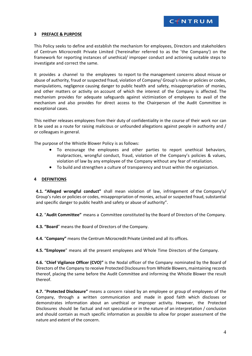#### <span id="page-3-0"></span>**3 PREFACE & PURPOSE**

This Policy seeks to define and establish the mechanism for employees, Directors and stakeholders of Centrum Microcredit Private Limited ('hereinafter referred to as the 'the Company') on the framework for reporting instances of unethical/ improper conduct and actioning suitable steps to investigate and correct the same.

It provides a channel to the employees to report to the management concerns about misuse or abuse of authority, fraud or suspected fraud, violation of Company/ Group's rules or policies or codes, manipulations, negligence causing danger to public health and safety, misappropriation of monies, and other matters or activity on account of which the interest of the Company is affected. The mechanism provides for adequate safeguards against victimization of employees to avail of the mechanism and also provides for direct access to the Chairperson of the Audit Committee in exceptional cases.

This neither releases employees from their duty of confidentiality in the course of their work nor can it be used as a route for raising malicious or unfounded allegations against people in authority and / or colleagues in general.

The purpose of the Whistle Blower Policy is as follows:

- To encourage the employees and other parties to report unethical behaviors, malpractices, wrongful conduct, fraud, violation of the Company's policies & values, violation of law by any employee of the Company without any fear of retaliation.
- To build and strengthen a culture of transparency and trust within the organization.

#### <span id="page-3-1"></span>**4 DEFINITIONS**

**4.1. "Alleged wrongful conduct"** shall mean violation of law, infringement of the Company's/ Group's rules or policies or codes, misappropriation of monies, actual or suspected fraud, substantial and specific danger to public health and safety or abuse of authority".

**4.2.** "**Audit Committee"** means a Committee constituted by the Board of Directors of the Company.

**4.3. "Board**" means the Board of Directors of the Company.

**4.4.** "**Company"** means the Centrum Microcredit Private Limited and all its offices.

**4.5. "Employee**" means all the present employees and Whole Time Directors of the Company.

**4.6.** "**Chief Vigilance Officer (CVO)"** is the Nodal officer of the Company nominated by the Board of Directors of the Company to receive Protected Disclosures from Whistle Blowers, maintaining records thereof, placing the same before the Audit Committee and informing the Whistle Blower the result thereof.

**4.7.** "**Protected Disclosure"** means a concern raised by an employee or group of employees of the Company, through a written communication and made in good faith which discloses or demonstrates information about an unethical or improper activity. However, the Protected Disclosures should be factual and not speculative or in the nature of an interpretation / conclusion and should contain as much specific information as possible to allow for proper assessment of the nature and extent of the concern.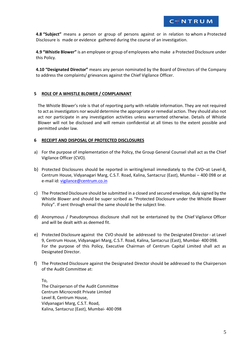**4.8 "Subject"** means a person or group of persons against or in relation to whom a Protected Disclosure is made or evidence gathered during the course of an investigation.

**4.9 "Whistle Blower"** is an employee or group of employees who make a Protected Disclosure under this Policy.

**4.10 "Designated Director"** means any person nominated by the Board of Directors of the Company to address the complaints/ grievances against the Chief Vigilance Officer.

#### <span id="page-4-0"></span>**5 ROLE OF A WHISTLE BLOWER / COMPLAINANT**

The Whistle Blower's role is that of reporting party with reliable information. They are not required to act as investigators nor would determine the appropriate or remedial action. They should also not act nor participate in any investigation activities unless warranted otherwise. Details of Whistle Blower will not be disclosed and will remain confidential at all times to the extent possible and permitted under law.

#### <span id="page-4-1"></span>**6 RECEIPT AND DISPOSAL OF PROTECTED DISCLOSURES**

- a) For the purpose of implementation of the Policy, the Group General Counsel shall act as the Chief Vigilance Officer (CVO).
- b) Protected Disclosures should be reported in writing/email immediately to the CVO–at Level-8, Centrum House, Vidyanagari Marg, C.S.T. Road, Kalina, Santacruz (East), Mumbai – 400 098 or at e-mail id[: vigilance@centrum.co.in](mailto:vigilance@centrum.co.in)
- c) The Protected Disclosure should be submitted in a closed and secured envelope, duly signed by the Whistle Blower and should be super scribed as "Protected Disclosure under the Whistle Blower Policy". If sent through email the same should be the subject line.
- d) Anonymous / Pseudonymous disclosure shall not be entertained by the Chief Vigilance Officer and will be dealt with as deemed fit.
- e) Protected Disclosure against the CVO should be addressed to the Designated Director at Level 9, Centrum House, Vidyanagari Marg, C.S.T. Road, Kalina, Santacruz (East), Mumbai- 400 098. For the purpose of this Policy, Executive Chairman of Centrum Capital Limited shall act as Designated Director.
- f) The Protected Disclosure against the Designated Director should be addressed to the Chairperson of the Audit Committee at:

To, The Chairperson of the Audit Committee Centrum Microcredit Private Limited Level 8, Centrum House, Vidyanagari Marg, C.S.T. Road, Kalina, Santacruz (East), Mumbai- 400 098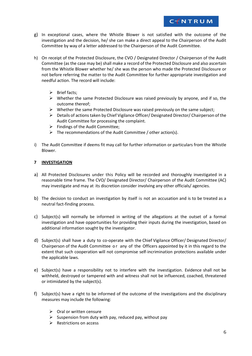g) In exceptional cases, where the Whistle Blower is not satisfied with the outcome of the investigation and the decision, he/ she can make a direct appeal to the Chairperson of the Audit Committee by way of a letter addressed to the Chairperson of the Audit Committee.

CTNTRUM

- h) On receipt of the Protected Disclosure, the CVO / Designated Director / Chairperson of the Audit Committee (as the case may be) shall make a record of the Protected Disclosure and also ascertain from the Whistle Blower whether he/ she was the person who made the Protected Disclosure or not before referring the matter to the Audit Committee for further appropriate investigation and needful action. The record will include:
	- $\triangleright$  Brief facts:
	- $\triangleright$  Whether the same Protected Disclosure was raised previously by anyone, and if so, the outcome thereof;
	- $\triangleright$  Whether the same Protected Disclosure was raised previously on the same subject;
	- $\triangleright$  Details of actions taken by Chief Vigilance Officer/ Designated Director/ Chairperson of the Audit Committee for processing the complaint.
	- $\triangleright$  Findings of the Audit Committee;
	- $\triangleright$  The recommendations of the Audit Committee / other action(s).
- i) The Audit Committee if deems fit may call for further information or particulars from the Whistle Blower.

#### <span id="page-5-0"></span>**7 INVESTIGATION**

- a) All Protected Disclosures under this Policy will be recorded and thoroughly investigated in a reasonable time frame. The CVO/ Designated Director/ Chairperson of the Audit Committee (AC) may investigate and may at its discretion consider involving any other officials/ agencies.
- b) The decision to conduct an investigation by itself is not an accusation and is to be treated as a neutral fact-finding process.
- c) Subject(s) will normally be informed in writing of the allegations at the outset of a formal investigation and have opportunities for providing their inputs during the investigation, based on additional information sought by the investigator.
- d) Subject(s) shall have a duty to co-operate with the Chief Vigilance Officer/ Designated Director/ Chairperson of the Audit Committee o r any of the Officers appointed by it in this regard to the extent that such cooperation will not compromise self-incrimination protections available under the applicable laws.
- e) Subject(s) have a responsibility not to interfere with the investigation. Evidence shall not be withheld, destroyed or tampered with and witness shall not be influenced, coached, threatened or intimidated by the subject(s).
- f) Subject(s) have a right to be informed of the outcome of the investigations and the disciplinary measures may include the following:
	- $\triangleright$  Oral or written censure
	- $\triangleright$  Suspension from duty with pay, reduced pay, without pay
	- $\triangleright$  Restrictions on access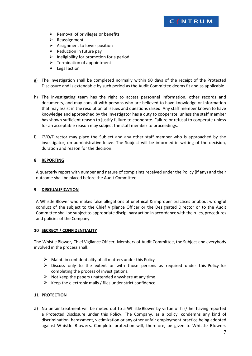

- $\triangleright$  Removal of privileges or benefits
- $\triangleright$  Reassignment
- $\triangleright$  Assignment to lower position
- $\triangleright$  Reduction in future pay
- $\triangleright$  Ineligibility for promotion for a period
- $\triangleright$  Termination of appointment
- $\triangleright$  Legal action
- g) The investigation shall be completed normally within 90 days of the receipt of the Protected Disclosure and is extendable by such period as the Audit Committee deems fit and as applicable.
- h) The investigating team has the right to access personnel information, other records and documents, and may consult with persons who are believed to have knowledge or information that may assist in the resolution of issues and questions raised. Any staff member known to have knowledge and approached by the investigator has a duty to cooperate, unless the staff member has shown sufficient reason to justify failure to cooperate. Failure or refusal to cooperate unless for an acceptable reason may subject the staff member to proceedings.
- i) CVO/Director may place the Subject and any other staff member who is approached by the investigator, on administrative leave. The Subject will be informed in writing of the decision, duration and reason for the decision.

#### <span id="page-6-0"></span>**8 REPORTING**

A quarterly report with number and nature of complaints received under the Policy (if any) and their outcome shall be placed before the Audit Committee.

#### <span id="page-6-1"></span>**9 DISQUALIFICATION**

A Whistle Blower who makes false allegations of unethical & improper practices or about wrongful conduct of the subject to the Chief Vigilance Officer or the Designated Director or to the Audit Committee shall be subject to appropriate disciplinary action in accordance with the rules, procedures and policies of the Company.

#### <span id="page-6-2"></span>**10 SECRECY / CONFIDENTIALITY**

The Whistle Blower, Chief Vigilance Officer, Members of Audit Committee, the Subject and everybody involved in the process shall:

- $\triangleright$  Maintain confidentiality of all matters under this Policy
- $\triangleright$  Discuss only to the extent or with those persons as required under this Policy for completing the process of investigations.
- $\triangleright$  Not keep the papers unattended anywhere at any time.
- $\triangleright$  Keep the electronic mails / files under strict confidence.

#### <span id="page-6-3"></span>**11 PROTECTION**

a) No unfair treatment will be meted out to a Whistle Blower by virtue of his/ her having reported a Protected Disclosure under this Policy. The Company, as a policy, condemns any kind of discrimination, harassment, victimization or any other unfair employment practice being adopted against Whistle Blowers. Complete protection will, therefore, be given to Whistle Blowers